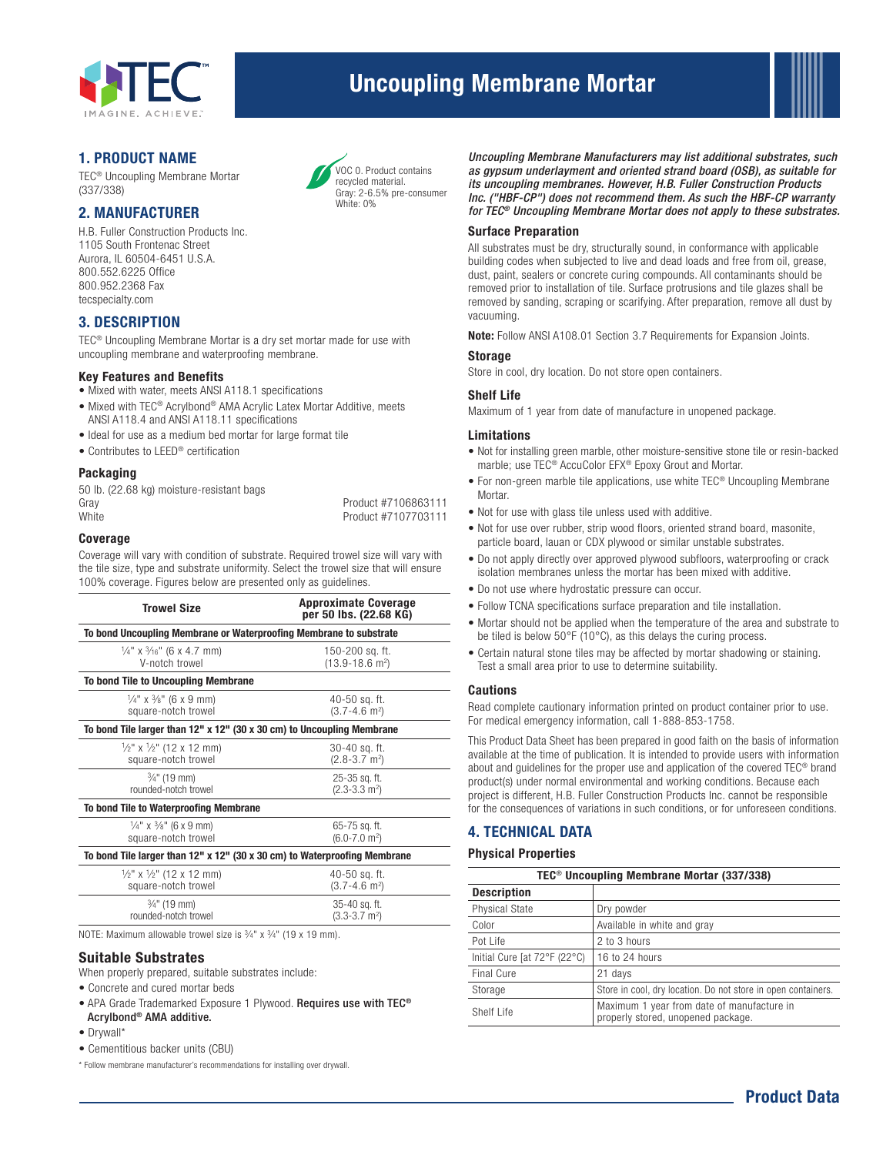

# Uncoupling Membrane Mortar



# 1. PRODUCT NAME

TEC® Uncoupling Membrane Mortar (337/338)

# 2. MANUFACTURER

H.B. Fuller Construction Products Inc. 1105 South Frontenac Street Aurora, IL 60504-6451 U.S.A. 800.552.6225 Office 800.952.2368 Fax tecspecialty.com

# 3. DESCRIPTION

TEC® Uncoupling Membrane Mortar is a dry set mortar made for use with uncoupling membrane and waterproofing membrane.

# Key Features and Benefits

- Mixed with water, meets ANSI A118.1 specifications
- Mixed with TEC® Acrylbond® AMA Acrylic Latex Mortar Additive, meets ANSI A118.4 and ANSI A118.11 specifications
- Ideal for use as a medium bed mortar for large format tile
- Contributes to LEED® certification

# Packaging

50 lb. (22.68 kg) moisture-resistant bags Gray **Product #7106863111** White **Product #7107703111** 

#### Coverage

Coverage will vary with condition of substrate. Required trowel size will vary with the tile size, type and substrate uniformity. Select the trowel size that will ensure 100% coverage. Figures below are presented only as guidelines.

| <b>Trowel Size</b>                                                        | <b>Approximate Coverage</b><br>per 50 lbs. (22.68 KG) |  |  |  |
|---------------------------------------------------------------------------|-------------------------------------------------------|--|--|--|
| To bond Uncoupling Membrane or Waterproofing Membrane to substrate        |                                                       |  |  |  |
| $\frac{1}{4}$ " x $\frac{3}{16}$ " (6 x 4.7 mm)                           | 150-200 sq. ft.                                       |  |  |  |
| V-notch trowel                                                            | $(13.9 - 18.6)$ m <sup>2</sup> )                      |  |  |  |
| To bond Tile to Uncoupling Membrane                                       |                                                       |  |  |  |
| $\frac{1}{4}$ " x $\frac{3}{8}$ " (6 x 9 mm)                              | 40-50 sq. ft.                                         |  |  |  |
| square-notch trowel                                                       | $(3.7 - 4.6)$ m <sup>2</sup> )                        |  |  |  |
| To bond Tile larger than 12" x 12" (30 x 30 cm) to Uncoupling Membrane    |                                                       |  |  |  |
| $\frac{1}{2}$ " x $\frac{1}{2}$ " (12 x 12 mm)                            | 30-40 sq. ft.                                         |  |  |  |
| square-notch trowel                                                       | $(2.8 - 3.7)$ m <sup>2</sup> )                        |  |  |  |
| 3/ <sub>4</sub> " (19 mm)                                                 | 25-35 sq. ft.                                         |  |  |  |
| rounded-notch trowel                                                      | $(2.3-3.3 \text{ m}^2)$                               |  |  |  |
| To bond Tile to Waterproofing Membrane                                    |                                                       |  |  |  |
| $\frac{1}{4}$ " x $\frac{3}{8}$ " (6 x 9 mm)                              | 65-75 sq. ft.                                         |  |  |  |
| square-notch trowel                                                       | $(6.0 - 7.0)$ m <sup>2</sup> )                        |  |  |  |
| To bond Tile larger than 12" x 12" (30 x 30 cm) to Waterproofing Membrane |                                                       |  |  |  |
| $\frac{1}{2}$ " x $\frac{1}{2}$ " (12 x 12 mm)                            | 40-50 sq. ft.                                         |  |  |  |
| square-notch trowel                                                       | $(3.7 - 4.6)$ m <sup>2</sup> )                        |  |  |  |
| $\frac{3}{4}$ " (19 mm)                                                   | 35-40 sq. ft.                                         |  |  |  |
| rounded-notch trowel                                                      | $(3.3-3.7)$ m <sup>2</sup> )                          |  |  |  |

NOTE: Maximum allowable trowel size is 3⁄4" x 3⁄4" (19 x 19 mm).

#### Suitable Substrates

When properly prepared, suitable substrates include:

- Concrete and cured mortar beds
- APA Grade Trademarked Exposure 1 Plywood. Requires use with TEC® Acrylbond® AMA additive.
- Drywall\*
- Cementitious backer units (CBU)

\* Follow membrane manufacturer's recommendations for installing over drywall.



*Uncoupling Membrane Manufacturers may list additional substrates, such as gypsum underlayment and oriented strand board (OSB), as suitable for its uncoupling membranes. However, H.B. Fuller Construction Products Inc. ("HBF-CP") does not recommend them. As such the HBF-CP warranty for TEC® Uncoupling Membrane Mortar does not apply to these substrates.*

# Surface Preparation

All substrates must be dry, structurally sound, in conformance with applicable building codes when subjected to live and dead loads and free from oil, grease, dust, paint, sealers or concrete curing compounds. All contaminants should be removed prior to installation of tile. Surface protrusions and tile glazes shall be removed by sanding, scraping or scarifying. After preparation, remove all dust by vacuuming.

Note: Follow ANSI A108.01 Section 3.7 Requirements for Expansion Joints.

#### Storage

Store in cool, dry location. Do not store open containers.

#### Shelf Life

Maximum of 1 year from date of manufacture in unopened package.

#### Limitations

- Not for installing green marble, other moisture-sensitive stone tile or resin-backed marble; use TEC® AccuColor EFX® Epoxy Grout and Mortar.
- For non-green marble tile applications, use white TEC<sup>®</sup> Uncoupling Membrane Mortar.
- Not for use with glass tile unless used with additive.
- Not for use over rubber, strip wood floors, oriented strand board, masonite, particle board, lauan or CDX plywood or similar unstable substrates.
- Do not apply directly over approved plywood subfloors, waterproofing or crack isolation membranes unless the mortar has been mixed with additive.
- Do not use where hydrostatic pressure can occur.
- Follow TCNA specifications surface preparation and tile installation.
- Mortar should not be applied when the temperature of the area and substrate to be tiled is below 50°F (10°C), as this delays the curing process.
- Certain natural stone tiles may be affected by mortar shadowing or staining. Test a small area prior to use to determine suitability.

#### Cautions

Read complete cautionary information printed on product container prior to use. For medical emergency information, call 1-888-853-1758.

This Product Data Sheet has been prepared in good faith on the basis of information available at the time of publication. It is intended to provide users with information about and guidelines for the proper use and application of the covered TEC® brand product(s) under normal environmental and working conditions. Because each project is different, H.B. Fuller Construction Products Inc. cannot be responsible for the consequences of variations in such conditions, or for unforeseen conditions.

# 4. TECHNICAL DATA

#### Physical Properties

| TEC <sup>®</sup> Uncoupling Membrane Mortar (337/338) |                                                                                  |  |
|-------------------------------------------------------|----------------------------------------------------------------------------------|--|
| <b>Description</b>                                    |                                                                                  |  |
| <b>Physical State</b>                                 | Dry powder                                                                       |  |
| Color                                                 | Available in white and gray                                                      |  |
| Pot Life                                              | 2 to 3 hours                                                                     |  |
| Initial Cure [at 72°F (22°C)                          | 16 to 24 hours                                                                   |  |
| <b>Final Cure</b>                                     | 21 days                                                                          |  |
| Storage                                               | Store in cool, dry location. Do not store in open containers.                    |  |
| Shelf Life                                            | Maximum 1 year from date of manufacture in<br>properly stored, unopened package. |  |